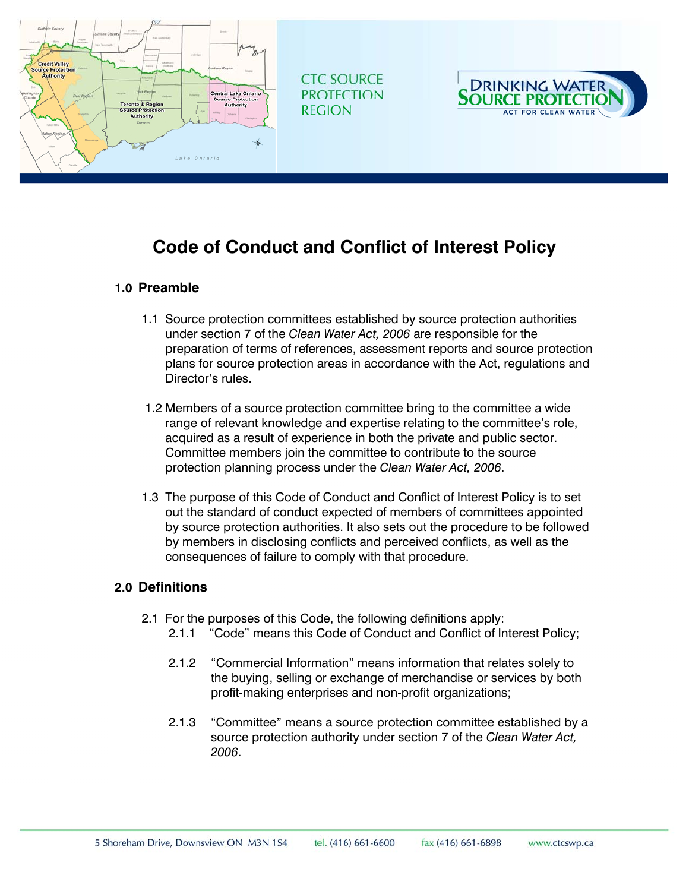

# **Code of Conduct and Conflict of Interest Policy**

#### **1.0 Preamble**

- 1.1 Source protection committees established by source protection authorities under section 7 of the *Clean Water Act, 2006* are responsible for the preparation of terms of references, assessment reports and source protection plans for source protection areas in accordance with the Act, regulations and Director's rules.
- 1.2 Members of a source protection committee bring to the committee a wide range of relevant knowledge and expertise relating to the committee's role, acquired as a result of experience in both the private and public sector. Committee members join the committee to contribute to the source protection planning process under the *Clean Water Act, 2006*.
- 1.3 The purpose of this Code of Conduct and Conflict of Interest Policy is to set out the standard of conduct expected of members of committees appointed by source protection authorities. It also sets out the procedure to be followed by members in disclosing conflicts and perceived conflicts, as well as the consequences of failure to comply with that procedure.

#### **2.0 Definitions**

- 2.1 For the purposes of this Code, the following definitions apply:
	- 2.1.1 "Code" means this Code of Conduct and Conflict of Interest Policy;
	- 2.1.2 "Commercial Information" means information that relates solely to the buying, selling or exchange of merchandise or services by both profit-making enterprises and non-profit organizations;
	- 2.1.3 "Committee" means a source protection committee established by a source protection authority under section 7 of the *Clean Water Act, 2006*.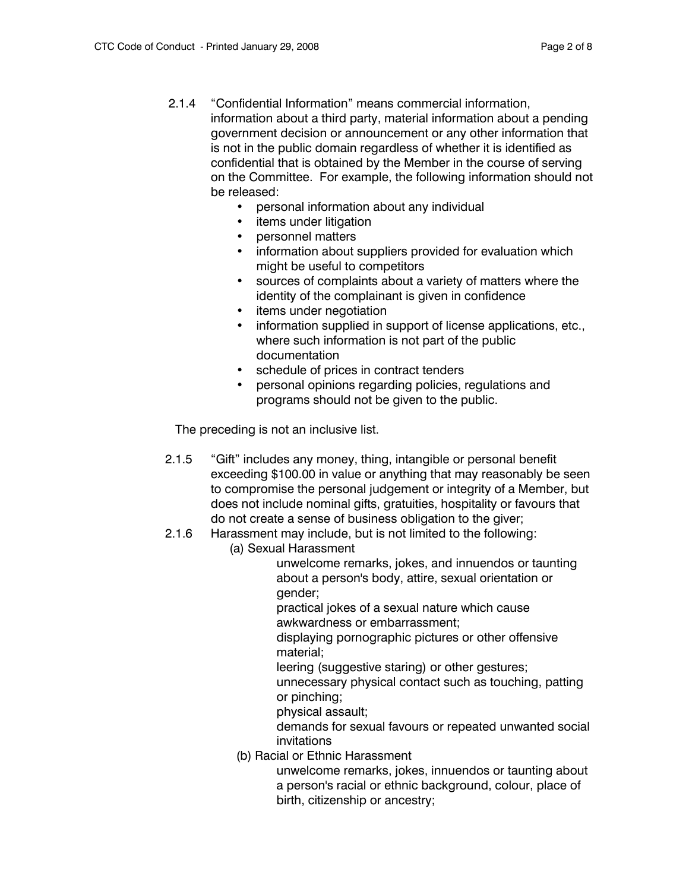- 2.1.4 "Confidential Information" means commercial information, information about a third party, material information about a pending government decision or announcement or any other information that is not in the public domain regardless of whether it is identified as confidential that is obtained by the Member in the course of serving on the Committee. For example, the following information should not be released:
	- personal information about any individual
	- items under litigation
	- personnel matters
	- information about suppliers provided for evaluation which might be useful to competitors
	- sources of complaints about a variety of matters where the identity of the complainant is given in confidence
	- items under negotiation
	- information supplied in support of license applications, etc., where such information is not part of the public documentation
	- schedule of prices in contract tenders
	- personal opinions regarding policies, regulations and programs should not be given to the public.

The preceding is not an inclusive list.

- 2.1.5 "Gift" includes any money, thing, intangible or personal benefit exceeding \$100.00 in value or anything that may reasonably be seen to compromise the personal judgement or integrity of a Member, but does not include nominal gifts, gratuities, hospitality or favours that do not create a sense of business obligation to the giver;
- 2.1.6 Harassment may include, but is not limited to the following:
	- (a) Sexual Harassment

unwelcome remarks, jokes, and innuendos or taunting about a person's body, attire, sexual orientation or gender;

practical jokes of a sexual nature which cause awkwardness or embarrassment;

displaying pornographic pictures or other offensive material;

leering (suggestive staring) or other gestures;

unnecessary physical contact such as touching, patting or pinching;

physical assault;

demands for sexual favours or repeated unwanted social invitations

(b) Racial or Ethnic Harassment

unwelcome remarks, jokes, innuendos or taunting about a person's racial or ethnic background, colour, place of birth, citizenship or ancestry;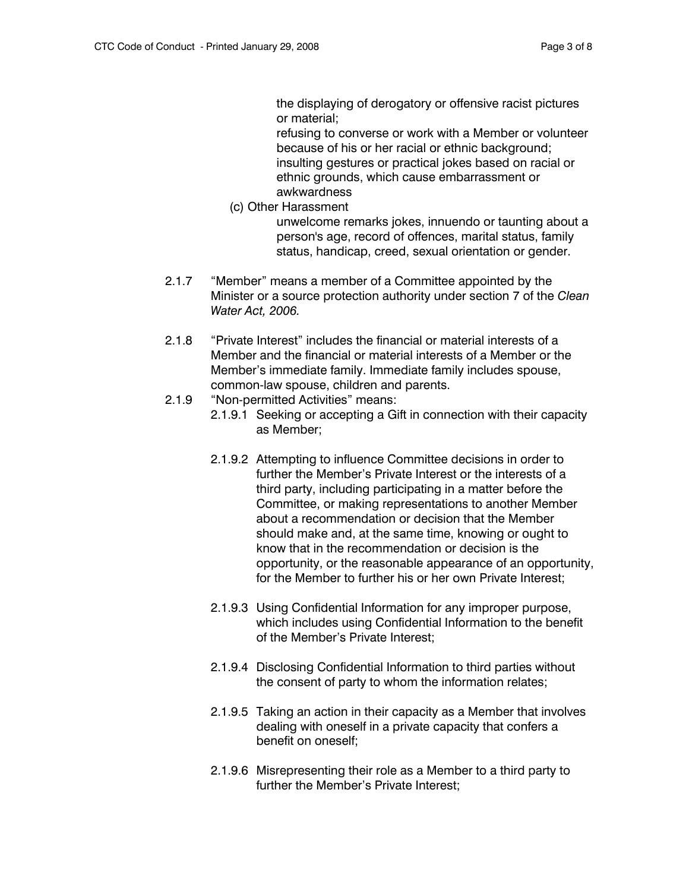the displaying of derogatory or offensive racist pictures or material;

refusing to converse or work with a Member or volunteer because of his or her racial or ethnic background; insulting gestures or practical jokes based on racial or ethnic grounds, which cause embarrassment or awkwardness

(c) Other Harassment

unwelcome remarks jokes, innuendo or taunting about a person's age, record of offences, marital status, family status, handicap, creed, sexual orientation or gender.

- 2.1.7 "Member" means a member of a Committee appointed by the Minister or a source protection authority under section 7 of the *Clean Water Act, 2006.*
- 2.1.8 "Private Interest" includes the financial or material interests of a Member and the financial or material interests of a Member or the Member's immediate family. Immediate family includes spouse, common-law spouse, children and parents.
- 2.1.9 "Non-permitted Activities" means:
	- 2.1.9.1 Seeking or accepting a Gift in connection with their capacity as Member;
	- 2.1.9.2 Attempting to influence Committee decisions in order to further the Member's Private Interest or the interests of a third party, including participating in a matter before the Committee, or making representations to another Member about a recommendation or decision that the Member should make and, at the same time, knowing or ought to know that in the recommendation or decision is the opportunity, or the reasonable appearance of an opportunity, for the Member to further his or her own Private Interest;
	- 2.1.9.3 Using Confidential Information for any improper purpose, which includes using Confidential Information to the benefit of the Member's Private Interest;
	- 2.1.9.4 Disclosing Confidential Information to third parties without the consent of party to whom the information relates;
	- 2.1.9.5 Taking an action in their capacity as a Member that involves dealing with oneself in a private capacity that confers a benefit on oneself;
	- 2.1.9.6 Misrepresenting their role as a Member to a third party to further the Member's Private Interest;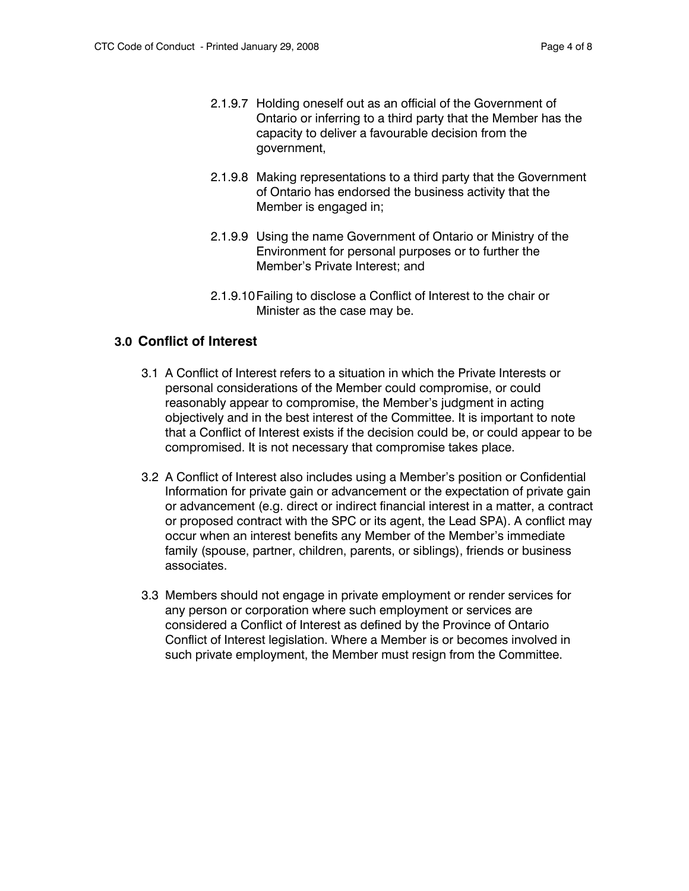- 2.1.9.7 Holding oneself out as an official of the Government of Ontario or inferring to a third party that the Member has the capacity to deliver a favourable decision from the government,
- 2.1.9.8 Making representations to a third party that the Government of Ontario has endorsed the business activity that the Member is engaged in;
- 2.1.9.9 Using the name Government of Ontario or Ministry of the Environment for personal purposes or to further the Member's Private Interest; and
- 2.1.9.10 Failing to disclose a Conflict of Interest to the chair or Minister as the case may be.

### **3.0 Conflict of Interest**

- 3.1 A Conflict of Interest refers to a situation in which the Private Interests or personal considerations of the Member could compromise, or could reasonably appear to compromise, the Member's judgment in acting objectively and in the best interest of the Committee. It is important to note that a Conflict of Interest exists if the decision could be, or could appear to be compromised. It is not necessary that compromise takes place.
- 3.2 A Conflict of Interest also includes using a Member's position or Confidential Information for private gain or advancement or the expectation of private gain or advancement (e.g. direct or indirect financial interest in a matter, a contract or proposed contract with the SPC or its agent, the Lead SPA). A conflict may occur when an interest benefits any Member of the Member's immediate family (spouse, partner, children, parents, or siblings), friends or business associates.
- 3.3 Members should not engage in private employment or render services for any person or corporation where such employment or services are considered a Conflict of Interest as defined by the Province of Ontario Conflict of Interest legislation. Where a Member is or becomes involved in such private employment, the Member must resign from the Committee.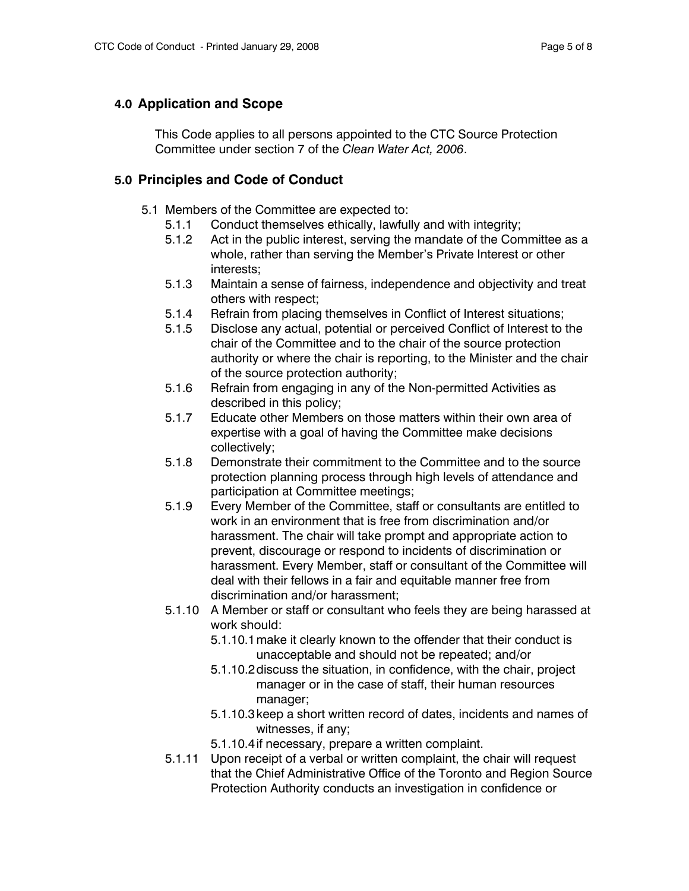#### **4.0 Application and Scope**

This Code applies to all persons appointed to the CTC Source Protection Committee under section 7 of the *Clean Water Act, 2006*.

### **5.0 Principles and Code of Conduct**

- 5.1 Members of the Committee are expected to:
	- 5.1.1 Conduct themselves ethically, lawfully and with integrity;
	- 5.1.2 Act in the public interest, serving the mandate of the Committee as a whole, rather than serving the Member's Private Interest or other interests;
	- 5.1.3 Maintain a sense of fairness, independence and objectivity and treat others with respect;
	- 5.1.4 Refrain from placing themselves in Conflict of Interest situations;
	- 5.1.5 Disclose any actual, potential or perceived Conflict of Interest to the chair of the Committee and to the chair of the source protection authority or where the chair is reporting, to the Minister and the chair of the source protection authority;
	- 5.1.6 Refrain from engaging in any of the Non-permitted Activities as described in this policy;
	- 5.1.7 Educate other Members on those matters within their own area of expertise with a goal of having the Committee make decisions collectively;
	- 5.1.8 Demonstrate their commitment to the Committee and to the source protection planning process through high levels of attendance and participation at Committee meetings;
	- 5.1.9 Every Member of the Committee, staff or consultants are entitled to work in an environment that is free from discrimination and/or harassment. The chair will take prompt and appropriate action to prevent, discourage or respond to incidents of discrimination or harassment. Every Member, staff or consultant of the Committee will deal with their fellows in a fair and equitable manner free from discrimination and/or harassment;
	- 5.1.10 A Member or staff or consultant who feels they are being harassed at work should:
		- 5.1.10.1 make it clearly known to the offender that their conduct is unacceptable and should not be repeated; and/or
		- 5.1.10.2 discuss the situation, in confidence, with the chair, project manager or in the case of staff, their human resources manager;
		- 5.1.10.3 keep a short written record of dates, incidents and names of witnesses, if any;
		- 5.1.10.4 if necessary, prepare a written complaint.
	- 5.1.11 Upon receipt of a verbal or written complaint, the chair will request that the Chief Administrative Office of the Toronto and Region Source Protection Authority conducts an investigation in confidence or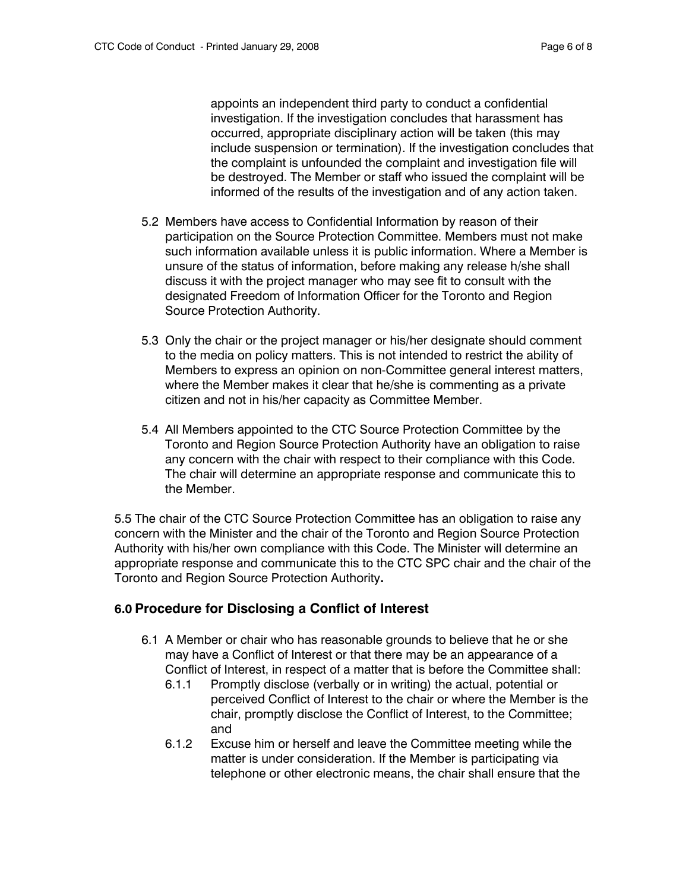appoints an independent third party to conduct a confidential investigation. If the investigation concludes that harassment has occurred, appropriate disciplinary action will be taken (this may include suspension or termination). If the investigation concludes that the complaint is unfounded the complaint and investigation file will be destroyed. The Member or staff who issued the complaint will be informed of the results of the investigation and of any action taken.

- 5.2 Members have access to Confidential Information by reason of their participation on the Source Protection Committee. Members must not make such information available unless it is public information. Where a Member is unsure of the status of information, before making any release h/she shall discuss it with the project manager who may see fit to consult with the designated Freedom of Information Officer for the Toronto and Region Source Protection Authority.
- 5.3 Only the chair or the project manager or his/her designate should comment to the media on policy matters. This is not intended to restrict the ability of Members to express an opinion on non-Committee general interest matters, where the Member makes it clear that he/she is commenting as a private citizen and not in his/her capacity as Committee Member.
- 5.4 All Members appointed to the CTC Source Protection Committee by the Toronto and Region Source Protection Authority have an obligation to raise any concern with the chair with respect to their compliance with this Code. The chair will determine an appropriate response and communicate this to the Member.

5.5 The chair of the CTC Source Protection Committee has an obligation to raise any concern with the Minister and the chair of the Toronto and Region Source Protection Authority with his/her own compliance with this Code. The Minister will determine an appropriate response and communicate this to the CTC SPC chair and the chair of the Toronto and Region Source Protection Authority**.** 

### **6.0 Procedure for Disclosing a Conflict of Interest**

- 6.1 A Member or chair who has reasonable grounds to believe that he or she may have a Conflict of Interest or that there may be an appearance of a Conflict of Interest, in respect of a matter that is before the Committee shall:
	- 6.1.1 Promptly disclose (verbally or in writing) the actual, potential or perceived Conflict of Interest to the chair or where the Member is the chair, promptly disclose the Conflict of Interest, to the Committee; and
	- 6.1.2 Excuse him or herself and leave the Committee meeting while the matter is under consideration. If the Member is participating via telephone or other electronic means, the chair shall ensure that the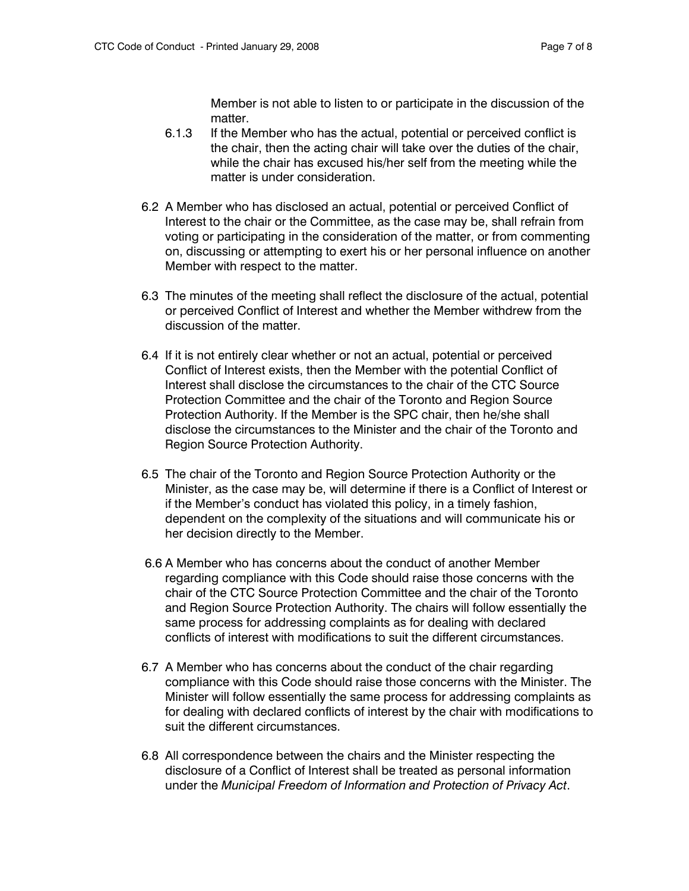Member is not able to listen to or participate in the discussion of the matter.

- 6.1.3 If the Member who has the actual, potential or perceived conflict is the chair, then the acting chair will take over the duties of the chair, while the chair has excused his/her self from the meeting while the matter is under consideration.
- 6.2 A Member who has disclosed an actual, potential or perceived Conflict of Interest to the chair or the Committee, as the case may be, shall refrain from voting or participating in the consideration of the matter, or from commenting on, discussing or attempting to exert his or her personal influence on another Member with respect to the matter.
- 6.3 The minutes of the meeting shall reflect the disclosure of the actual, potential or perceived Conflict of Interest and whether the Member withdrew from the discussion of the matter.
- 6.4 If it is not entirely clear whether or not an actual, potential or perceived Conflict of Interest exists, then the Member with the potential Conflict of Interest shall disclose the circumstances to the chair of the CTC Source Protection Committee and the chair of the Toronto and Region Source Protection Authority. If the Member is the SPC chair, then he/she shall disclose the circumstances to the Minister and the chair of the Toronto and Region Source Protection Authority.
- 6.5 The chair of the Toronto and Region Source Protection Authority or the Minister, as the case may be, will determine if there is a Conflict of Interest or if the Member's conduct has violated this policy, in a timely fashion, dependent on the complexity of the situations and will communicate his or her decision directly to the Member.
- 6.6 A Member who has concerns about the conduct of another Member regarding compliance with this Code should raise those concerns with the chair of the CTC Source Protection Committee and the chair of the Toronto and Region Source Protection Authority. The chairs will follow essentially the same process for addressing complaints as for dealing with declared conflicts of interest with modifications to suit the different circumstances.
- 6.7 A Member who has concerns about the conduct of the chair regarding compliance with this Code should raise those concerns with the Minister. The Minister will follow essentially the same process for addressing complaints as for dealing with declared conflicts of interest by the chair with modifications to suit the different circumstances.
- 6.8 All correspondence between the chairs and the Minister respecting the disclosure of a Conflict of Interest shall be treated as personal information under the *Municipal Freedom of Information and Protection of Privacy Act*.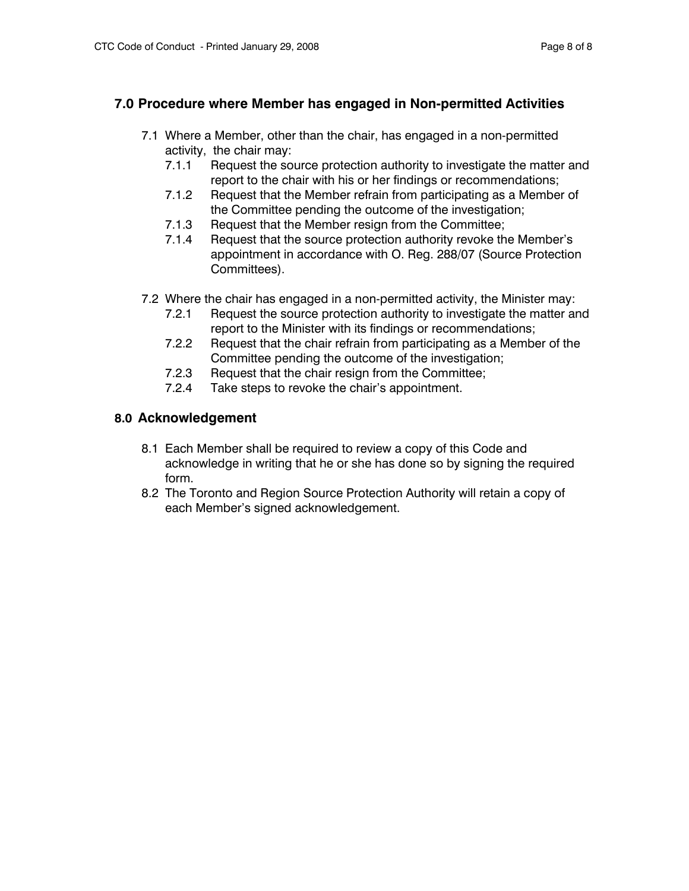### **7.0 Procedure where Member has engaged in Non-permitted Activities**

- 7.1 Where a Member, other than the chair, has engaged in a non-permitted activity, the chair may:
	- 7.1.1 Request the source protection authority to investigate the matter and report to the chair with his or her findings or recommendations;
	- 7.1.2 Request that the Member refrain from participating as a Member of the Committee pending the outcome of the investigation;
	- 7.1.3 Request that the Member resign from the Committee;
	- 7.1.4 Request that the source protection authority revoke the Member's appointment in accordance with O. Reg. 288/07 (Source Protection Committees).
- 7.2 Where the chair has engaged in a non-permitted activity, the Minister may:
	- 7.2.1 Request the source protection authority to investigate the matter and report to the Minister with its findings or recommendations;
	- 7.2.2 Request that the chair refrain from participating as a Member of the Committee pending the outcome of the investigation;
	- 7.2.3 Request that the chair resign from the Committee;
	- 7.2.4 Take steps to revoke the chair's appointment.

### **8.0 Acknowledgement**

- 8.1 Each Member shall be required to review a copy of this Code and acknowledge in writing that he or she has done so by signing the required form.
- 8.2 The Toronto and Region Source Protection Authority will retain a copy of each Member's signed acknowledgement.